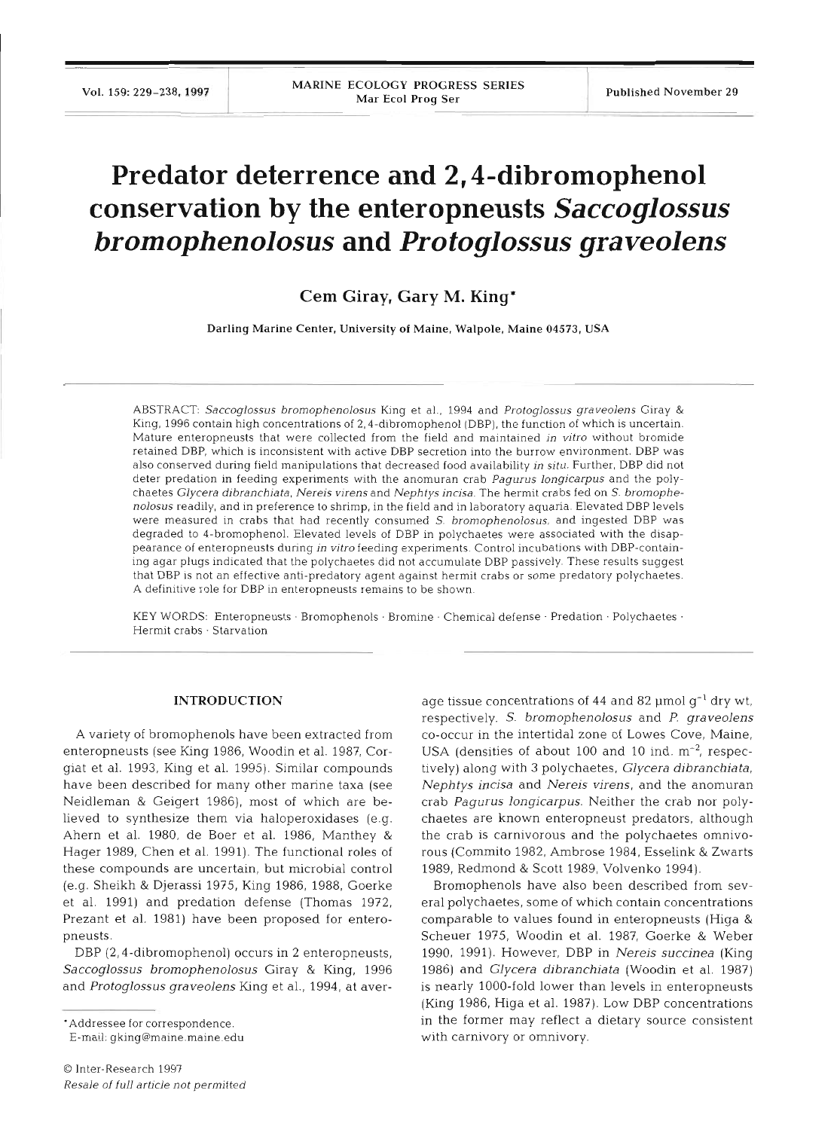# **Predator deterrence and 2,4-dibromophenol conservation by the enteropneusts** *Saccoglossus bromophenolosus* **and** *Protoglossus graveolens*

## **Cem Giray, Gary M. King\***

Darling Marine Center, University of Maine. Walpole. Maine 04573, USA

ABSTRACT: Saccoglossus bromophenolosus King et al., 1994 and Protoglossus graveolens Giray & King, 1996 contain high concentrations of 2,4-dibromophenol (DBP), the function of which is uncertain. Mature enteropneusts that were collected from the field and maintained in vitro without bromide retained DBP, which is inconsistent with active DBP secretion into the burrow environment. DBP was also conserved during field manipulations that decreased food availability in situ. Further, DBP did not deter predation in feeding experiments with the anomuran crab Pagurus longicarpus and the polychaetes Glycera dibranchiata, Nereis virens and Nephtys incisa. The hermit crabs fed on S. bromophenolosus readily, and in preference to shrimp, in the field and in laboratory aquaria. Elevated DBP levels were measured in crabs that had recently consumed S. bromophenolosus, and ingested DBP was degraded to 4-bromophenol. Elevated levels of DBP in polychaetes were associated with the disappearance of enteropneusts during in vitro feeding experiments. Control incubations with DBP-containing agar plugs indicated that the polychaetes did not accumulate DBP passively. These results suggest that DBP is not an effective anti-predatory agent against hermit crabs or some predatory polychaetes. A definitive role for DBP in enteropneusts remains to be shown.

KEY WORDS: Enteropneusts · Bromophenols · Bromine · Chemical defense · Predation · Polychaetes · Hermit crabs · Starvation

### **INTRODUCTION**

**A** variety of bromophenols have been extracted from enteropneusts (see King 1986, Woodin et al. 1987, Corgiat et al. 1993, King et al. 1995). Similar compounds have been described for many other marine taxa (see Neidleman & Geigert 1986), most of which are believed to synthesize them via haloperoxidases (e.g. Ahern et al. 1980, de Boer et al. 1986, Manthey & Hager 1989, Chen et al. 1991). The functional roles of these compounds are uncertain, but microbial control (e.g. Sheikh & Djerassi 1975, King 1986, 1988, Goerke et al. 1991) and predation defense (Thomas 1972, Prezant et al. 1981) have been proposed for enteropneusts.

DBP (2,4-dibromophenol) occurs in 2 enteropneusts, Saccoglossus bromophenolosus Giray & King, 1996 and Protoglossus graveolens King et al., 1994, at aver-

'Addressee for correspondence.

E-mail: gking@maine.maine.edu

age tissue concentrations of 44 and 82  $\mu$ mol  $q^{-1}$  dry wt, respectively. S. bromophenolosus and P. graveolens CO-occur in the intertidal zone of Lowes Cove, Maine, USA (densities of about 100 and 10 ind.  $m<sup>-2</sup>$ , respectively) along with 3 polychaetes, Glycera dibranchiata, Nephtys incisa and Nereis virens, and the anomuran crab Pagurus longicarpus. Neither the crab nor polychaetes are known enteropneust predators, although the crab is carnivorous and the polychaetes omnivorous (Commito 1982, Ambrose 1984, Esselink & Zwarts 1989, Redmond & Scott 1989, Volvenko 1994).

Bromophenols have also been described from several polychaetes, some of which contain concentrations comparable to values found in enteropneusts (Higa & Scheuer 1975, Woodin et al. 1987, Goerke & Weber 1990, 1991). However, DBP in Nereis succinea (King 1986) and Glycera dibranchiata (Woodin et al. 1987) is nearly 1000-fold lower than levels in enteropneusts (King 1986, Higa et al. 1987). Low DBP concentrations in the former may reflect a dietary source consistent with carnivory or omnivory.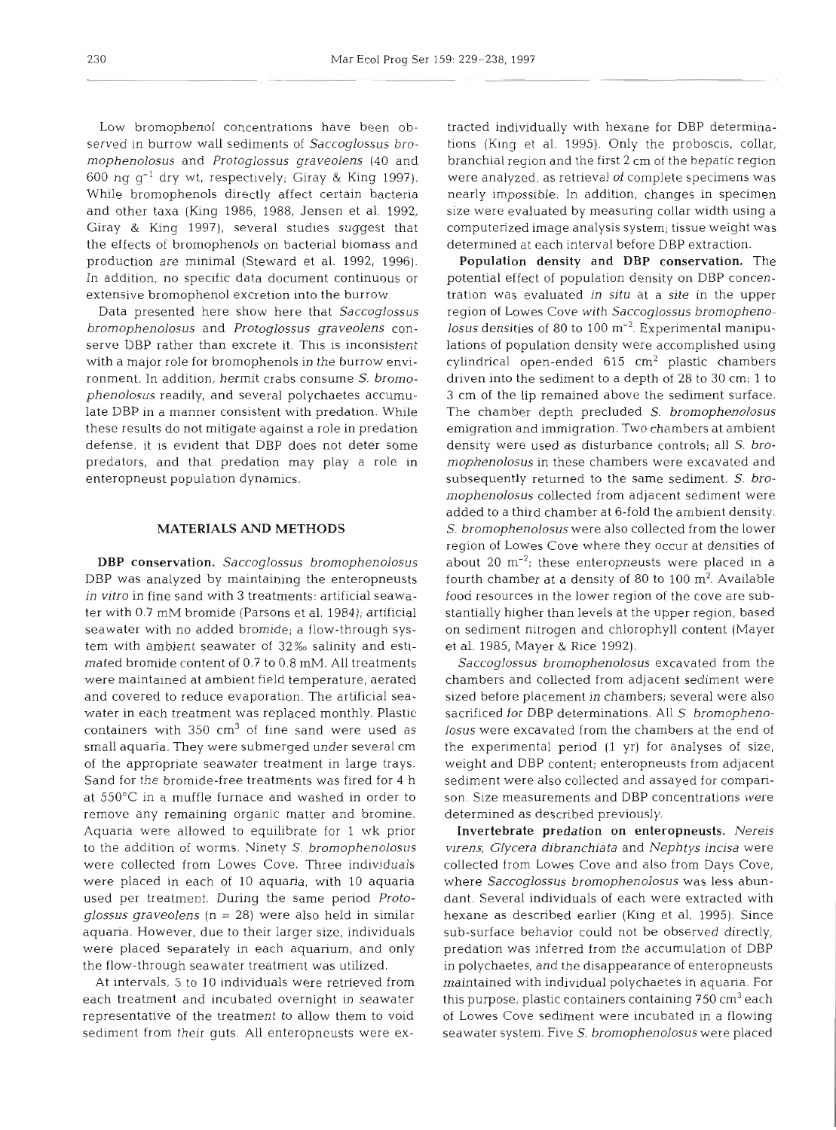Low bromophenol concentrations have been observed in burrow wall sediments of Saccoglossus bromophenolosus and Protoglossus graveolens (40 and 600 ng g-' dry wt, respectively; Giray & King 1997). While bromophenols directly affect certain bacteria and other taxa (King 1986, 1988, Jensen et al. 1992, Giray & King 1997), several studies suggest that the effects of bromophenols on bacterial biomass and production are minimal (Steward et al. 1992, 1996). In addition, no specific data document continuous or extensive bromophenol excretion into the burrow.

Data presented here show here that Saccoglossus bromophenolosus and Protoglossus graveolens conserve DBP rather than excrete it. This is inconsistent with a major role for bromophenols in the burrow environment. In addition, hermit crabs consume S. bromophenolosus readily, and several polychaetes accumulate DBP in a manner consistent with predation. While these results do not mitigate against a role in predation defense, it is evident that DBP does not deter some predators, and that predation may play a role in enteropneust population dynamics.

#### **MATERIALS AND METHODS**

DBP conservation. Saccoglossus bromophenolosus DBP was analyzed by maintaining the enteropneusts in vitro in fine sand with 3 treatments: artificial seawater with 0.7 mM bromide (Parsons et al. 1984); artificial seawater with no added bromide; a flow-through system with ambient seawater of 32% salinity and estimated bromide content of 0.7 to 0.8 mM. All treatments were maintained at ambient field temperature, aerated and covered to reduce evaporation. The artificial seawater in each treatment was replaced monthly. Plastic containers with  $350 \text{ cm}^3$  of fine sand were used as small aquaria. They were submerged under several cm of the appropriate seawater treatment in large trays. Sand for the bromide-free treatments was fired for 4 h at 550°C in a muffle furnace and washed in order to remove any remaining organic matter and bromine. Aquaria were allowed to equilibrate for 1 wk prior to the addition of worms. Ninety S. bromophenolosus were collected from Lowes Cove. Three individuals were placed in each of 10 aquaria, with 10 aquaria used per treatment. During the same period Protoglossus graveolens ( $n = 28$ ) were also held in similar aquaria. However, due to their larger size, individuals were placed separately in each aquarium, and only the flow-through seawater treatment was utilized.

At intervals, 5 to 10 individuals were retrieved from each treatment and incubated overnight in seawater representative of the treatment to allow them to void sediment from their guts. All enteropneusts were ex-

racted individually with hexane for DBP determina-<br>cross (King et al. 1995). Only the probosets, collar,<br>cross (King et al. 1995). Only the probosets, collar,<br>cross (King et al. 1995). Only the probosets, collar,<br>cross-red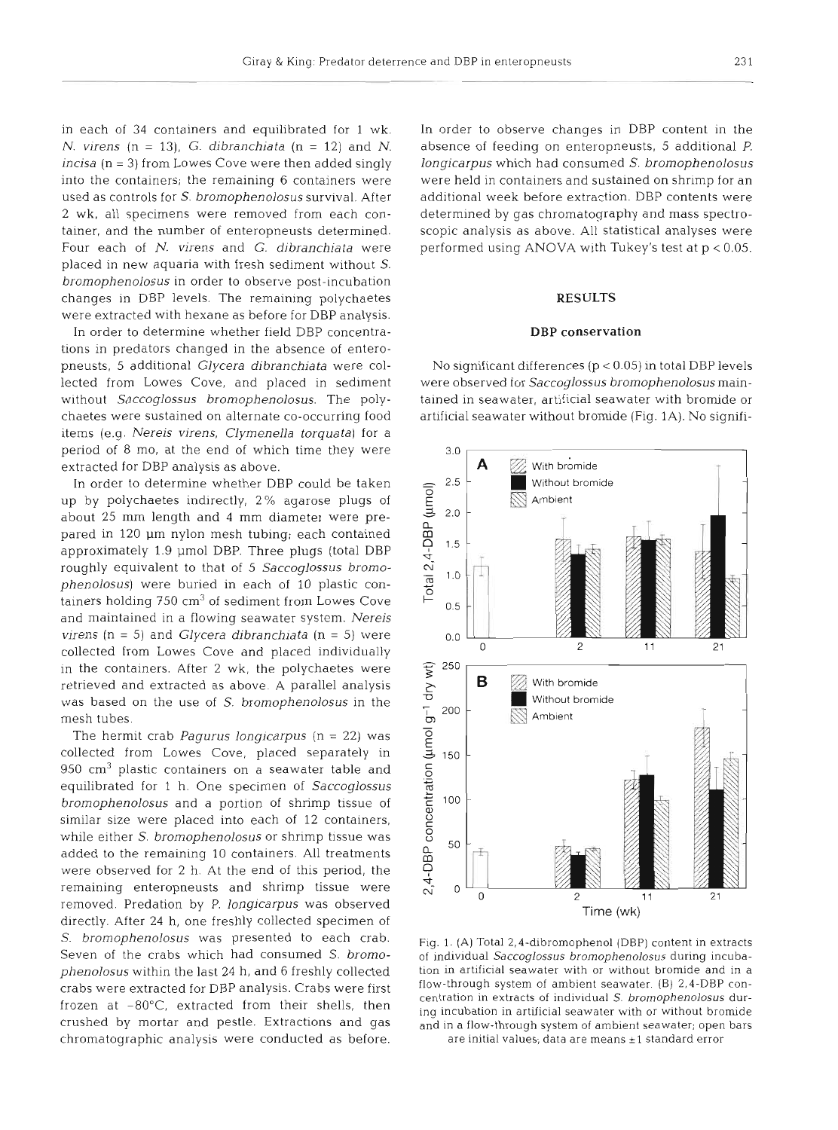in each of 34 containers and equilibrated for 1 wk. N. virens  $(n = 13)$ , G. dibranchiata  $(n = 12)$  and N. incisa (n = **3)** from Lowes Cove were then added singly into the containers; the remaining 6 containers were used as controls for S. bromophenolosus survival. After 2 wk, all specimens were removed from each container, and the number of enteropneusts determined. Four each of N. virens and G. dibranchiata were placed in new aquaria with fresh sediment without S. bromophenolosus in order to observe post-incubation changes in DBP levels. The remaining polychaetes were extracted with hexane as before for DBP analysis.

In order to determine whether field DBP concentrations in predators changed in the absence of enteropneusts, 5 additional Glycera dibranchiata were collected from Lowes Cove, and placed in sediment without Saccoglossus bromophenolosus. The polychaetes were sustained on alternate co-occurring food items (e.g. Nereis virens, Clymenella torquata) for a period of 8 mo, at the end of which time they were extracted for DBP analysis as above.

In order to determine whether DBP could be taken up by polychaetes indirectly, 2% agarose plugs of about 25 mm length and 4 mm diameter were prepared in 120 µm nylon mesh tubing; each contained approximately 1.9 µmol DBP. Three plugs (total DBP roughly equivalent to that of 5 Saccoglossus bromophenolosus) were buried in each of 10 plastic containers holding  $750 \text{ cm}^3$  of sediment from Lowes Cove and maintained in a flowing seawater system. Nereis virens ( $n = 5$ ) and *Glycera dibranchiata* ( $n = 5$ ) were collected from Lowes Cove and placed individually in the containers. After 2 wk, the polychaetes were retrieved and extracted as above. A parallel analysis was based on the use of *S.* bromophenolosus in the mesh tubes.

The hermit crab Pagurus longicarpus ( $n = 22$ ) was collected from Lowes Cove, placed separately in  $950 \text{ cm}^3$  plastic containers on a seawater table and equilibrated for 1 h. One specimen of Saccoglossus bromophenolosus and a portion of shrimp tissue of similar size were placed into each of 12 containers, while either *S. bromophenolosus* or shrimp tissue was added to the remaining 10 containers. All treatments were observed for **2** h. At the end of this period, the remaining enteropneusts and shrimp tissue were removed. Predation by P. longicarpus was observed directly. After 24 h, one freshly collected specimen of S. bromophenolosus was presented to each crab. Seven of the crabs which had consumed S. bromophenolosus within the last 24 h, and 6 freshly collected crabs were extracted for DBP analysis. Crabs were first frozen at  $-80^{\circ}$ C, extracted from their shells, then crushed by mortar and pestle. Extractions and gas chromatographic analysis were conducted as before.

In order to observe changes in DBP content in the absence of feeding on enteropneusts, 5 additional P. longicarpus which had consumed S. bromophenolosus were held in containers and sustained on shrimp for an additional week before extraction. DBP contents were determined by gas chromatography and mass spectroscopic analysis as above. All statistical analyses were performed using ANOVA with Tukey's test at p < 0.05.

### **RESULTS**

#### **DBP** conservation

No significant differences (p < 0.05) in total DBP levels were observed for Saccoglossus bromophenolosus maintained in seawater, artificial seawater with bromide or artificial seawater without bromide (Fig. 1A). No signifi-



Fig. 1. (A) Total 2,4-dibromophenol (DBP) content in extracts of individual Saccoglossus bromophenolosus during incubation in artificial seawater with or without bromide and in a flow-through system of ambient seawater. (B) 2,4-DBP concentration in extracts of individual S. brornophenolosus during incubation in artificial seawater with or without bromide and in a flow-through system of ambient seawater; open bars are initial values; data are means  $\pm 1$  standard error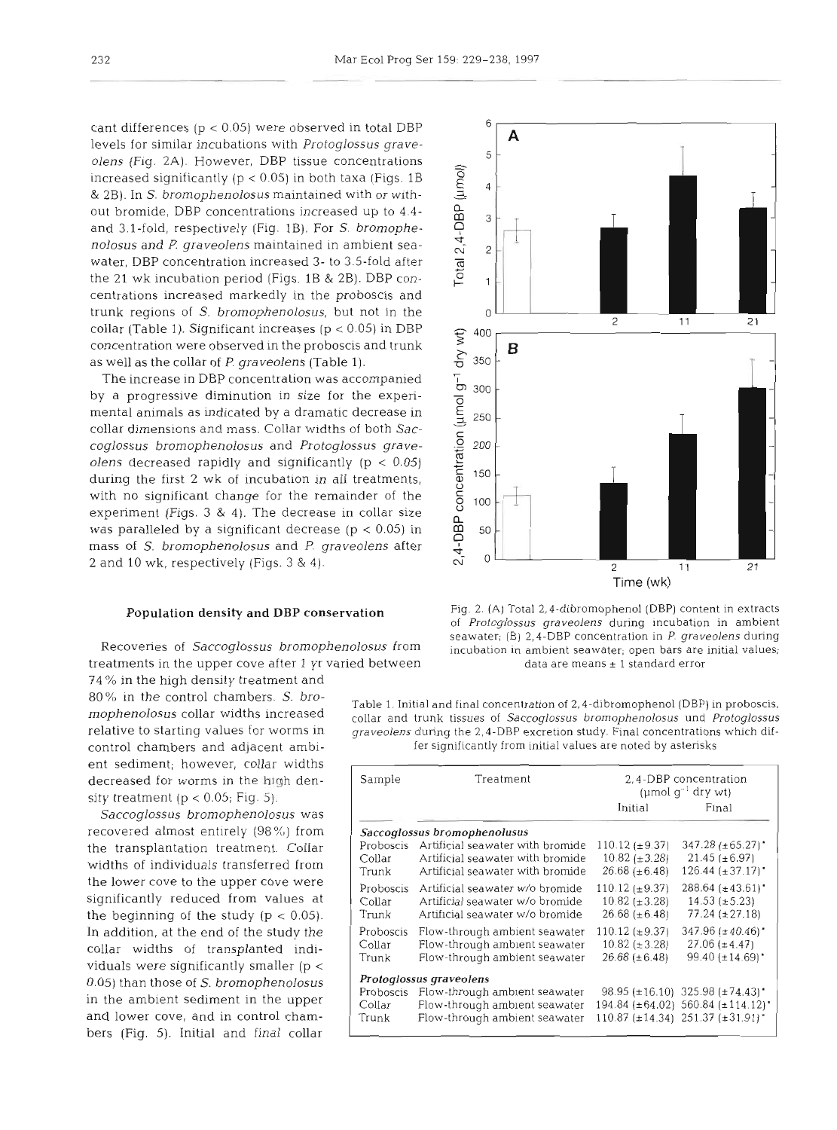cant differences ( $p < 0.05$ ) were observed in total DBP levels for similar incubations with *Protoglossus graveolens* (Fig. 2A). However, DBP tissue concentrations increased significantly ( $p < 0.05$ ) in both taxa (Figs. 1B & 2B). In S. *bromophenolosus* maintained with or without bromide, DBP concentrations increased up to **4.4**  and 3.1-fold, respectively (Fig. 1B). For S. *bromophenolosus* and *P. graveolens* maintained in ambient seawater. DBP concentration increased 3- to 3.5-fold after the 21 wk incubation period (Figs. **1B** & 2B). DBP concentrations increased markedly in the proboscis and trunk regions of *S. bromophenolosus,* but not in the collar (Table 1). Significant increases  $(p < 0.05)$  in DBP concentration were observed in the proboscis and trunk as well as the collar of *P. graveolens* (Table 1).

The increase in DBP concentration was accompanied by a progressive diminution in size for the experimental animals as indicated by a dramatic decrease in collar dimensions and mass. Collar widths of both Sac*coglossus bromophenolosus* and *Pro toglossus graveolens* decreased rapidly and significantly (p *c* 0.05) during the first 2 wk of incubation in all treatments, with no significant change for the remainder of the experiment (Figs. 3 & 4). The decrease in collar size was paralleled by a significant decrease ( $p < 0.05$ ) in mass of S. *bromophenolosus* and *P. graveolens* after 2 and 10 **wk.** respectively (Figs. 3 & 4).

treatments in the upper cove after 1 yr varied between data are means ± 1 standard error

74 % in the high density treatment and ent sediment; however, collar widths decreased for worms in the high density treatment ( $p < 0.05$ ; Fig. 5).

In addition, at the end of the study the collar widths of transplanted indlviduals were significantly smaller (p  $<$ 0 05) than those of S. *bromophenolosus*  in the amblent sedlment in the upper *Saccoglossus bromophenolosus* was recovered almost entirely  $(98\%)$  from the transplantation treatment. collar widths of individuals transferred from the lower cove to the upper cove were significantly reduced from values at the beginning of the study  $(p < 0.05)$ . and lower cove, and in control chambers (Fig. 5). Initial and final collar



Population density and DBP conservation Fig. 2. (A) Total 2,4-dibromophenol (DBP) content in extracts of *Protoglossus graveolens* during incubation in ambient seawater; (B) 2, 4-DBP concentration in P. graveolens during<br>Recoveries of *Saccoglossus bromophenolosus* from incubation in ambient seawater; open bars are initial values;

80% in the control chambers. *S. bro-* Table 1. Initial and final concentration of 2,4-dibromophenol (DBP) in proboscis, mophenolosus collar widths increased collar and trunk tissues of *Saccoglossus bromophenolosus* und relative to starting values for worms in graveolens during the 2,4-DBP excretion study. Final concentrations which difcontrol chambers and adjacent ambi- fer significantly from initial values are noted by astensks

| Sample    | Treatment                        | 2,4-DBP concentration<br>(umol $q^{-1}$ dry wt) |                                                 |
|-----------|----------------------------------|-------------------------------------------------|-------------------------------------------------|
|           |                                  | Initial                                         | Final                                           |
|           | Saccoglossus bromophenolusus     |                                                 |                                                 |
| Proboscis | Artificial seawater with bromide | $110.12 \ (\pm 9.37)$                           | $347.28 (\pm 65.27)^{+}$                        |
| Collar    | Artificial seawater with bromide | $10.82 \ (\pm 3.28)$                            | $21.45 (\pm 6.97)$                              |
| Trunk     | Artificial seawater with bromide | $26.68 (\pm 6.48)$                              | $126.44 \pm 37.17$                              |
| Proboscis | Artificial seawater w/o bromide  | $110.12 \pm 9.37$                               | $288.64~(\pm 43.61)$                            |
| Collar    | Artificial seawater w/o bromide  | $10.82~(\pm 3.28)$                              | $14.53 (\pm 5.23)$                              |
| Trunk     | Artificial seawater w/o bromide  | $26.68 (\pm 6.48)$                              | $77.24 (\pm 27.18)$                             |
| Proboscis | Flow-through ambient seawater    | $110.12 (\pm 9.37)$                             | $347.96 (\pm 40.46)$                            |
| Collar    | Flow-through ambient seawater    | $10.82~(\pm 3.28)$                              | $27.06 (\pm 4.47)$                              |
| Trunk     | Flow-through ambient seawater    | $26.68 (\pm 6.48)$                              | $99.40 \ (\pm 14.69)$                           |
|           | Protoglossus graveolens          |                                                 |                                                 |
| Proboscis | Flow-through ambient seawater    |                                                 | $98.95 \pm 16.10$ 325.98 (±74.43)               |
| Collar    | Flow-through ambient seawater    |                                                 | $194.84 \{\pm 64.02\}$ 560.84 $\{\pm 114.12\}$  |
| Trunk     | Flow-through ambient seawater    |                                                 | $110.87 \ (\pm 14.34) \ \ 251.37 \ (\pm 31.91)$ |
|           |                                  |                                                 |                                                 |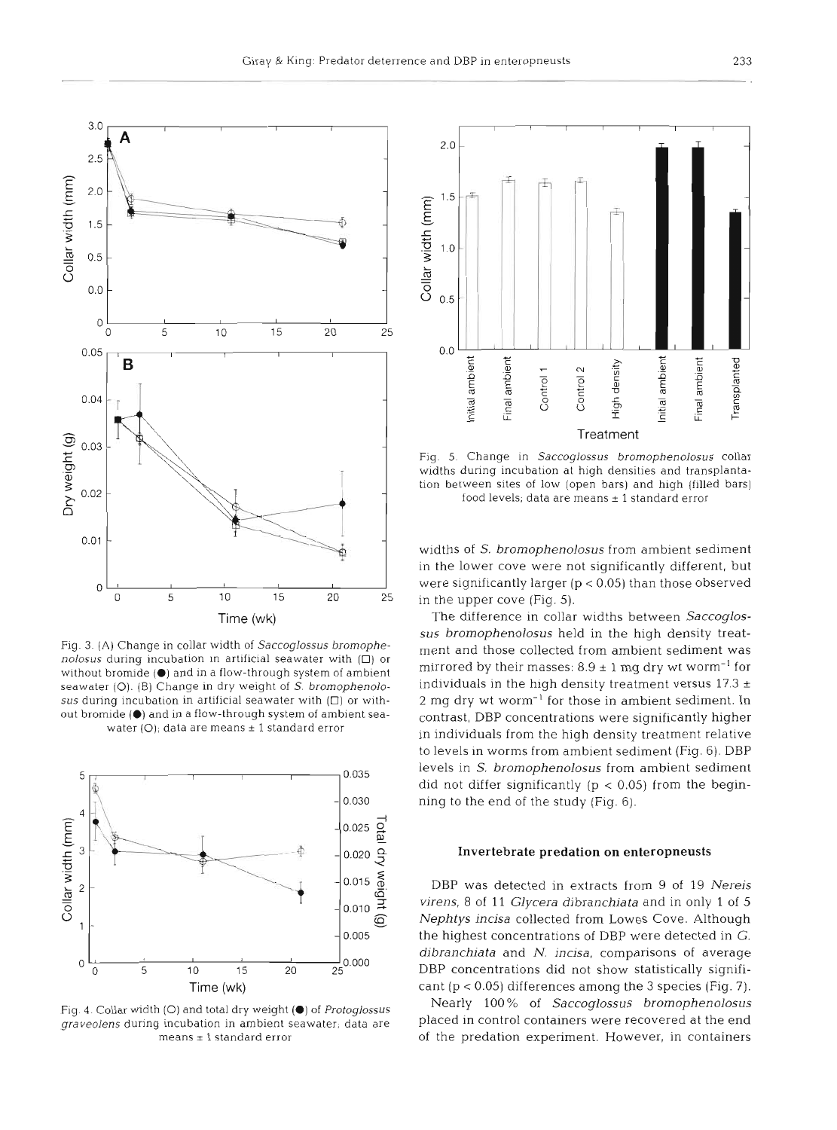

Fig. 3. (A) Change in collar width of Saccoglossus bromophenolosus during incubation in artificial seawater with  $(D)$  or without bromide (@) and in a flow-through system of ambient seawater (O). (B) Change in dry weight of S. bromophenolosus during incubation in artificial seawater with  $(D)$  or without bromide (@) and in a flow-through system of ambient seawater  $(O)$ ; data are means  $\pm$  1 standard error



Fig. 4. Collar width (O) and total dry weight ( $\bullet$ ) of Protoglossus graveolens during incubation in ambient seawater; data are  $means \pm 1$  standard error



Fig. 5. Change in Saccoglossus bromophenolosus collar widths during incubation at high densities and transplantation between sites of low (open bars) and high (filled bars) food levels; data are means  $\pm$  1 standard error

widths of S, *bromophenolosus* from ambient sediment in the lower cove were not significantly different, but were significantly larger  $(p < 0.05)$  than those observed in the upper cove (Fig. 5).

The difference in collar widths between *Saccoglossus bromophenolosus* held in the high density treatment and those collected from ambient sediment was mirrored by their masses:  $8.9 \pm 1$  mg dry wt worm<sup>-1</sup> for individuals in the high density treatment versus  $17.3 \pm 12.5$ 2 mg dry wt worm<sup>-1</sup> for those in ambient sediment. In contrast, DBP concentrations were significantly higher in individuals from the high density treatment relative to levels in worms from ambient sediment (Fig. 6). DBP levels in S. *bromophenolosus* from ambient sediment did not differ significantly ( $p < 0.05$ ) from the beginning to the end of the study (Fig. 6).

#### Invertebrate predation on enteropneusts

DBP was detected in extracts from 9 of 19 *Nereis virens,* 8 of 11 *Glycera dibranchiata* and in only 1 of 5 *Nephtys incisa* collected from Lowes Cove. Although the highest concentrations of DBP were detected in G. *dibranchiata* and *N. incisa,* comparisons of average DBP concentrations did not show statistically significant  $(p < 0.05)$  differences among the 3 species (Fig. 7).

Nearly 100 % of *Saccoglossus bromophen olosus*  placed in control containers were recovered at the end of the predation experiment. However, in containers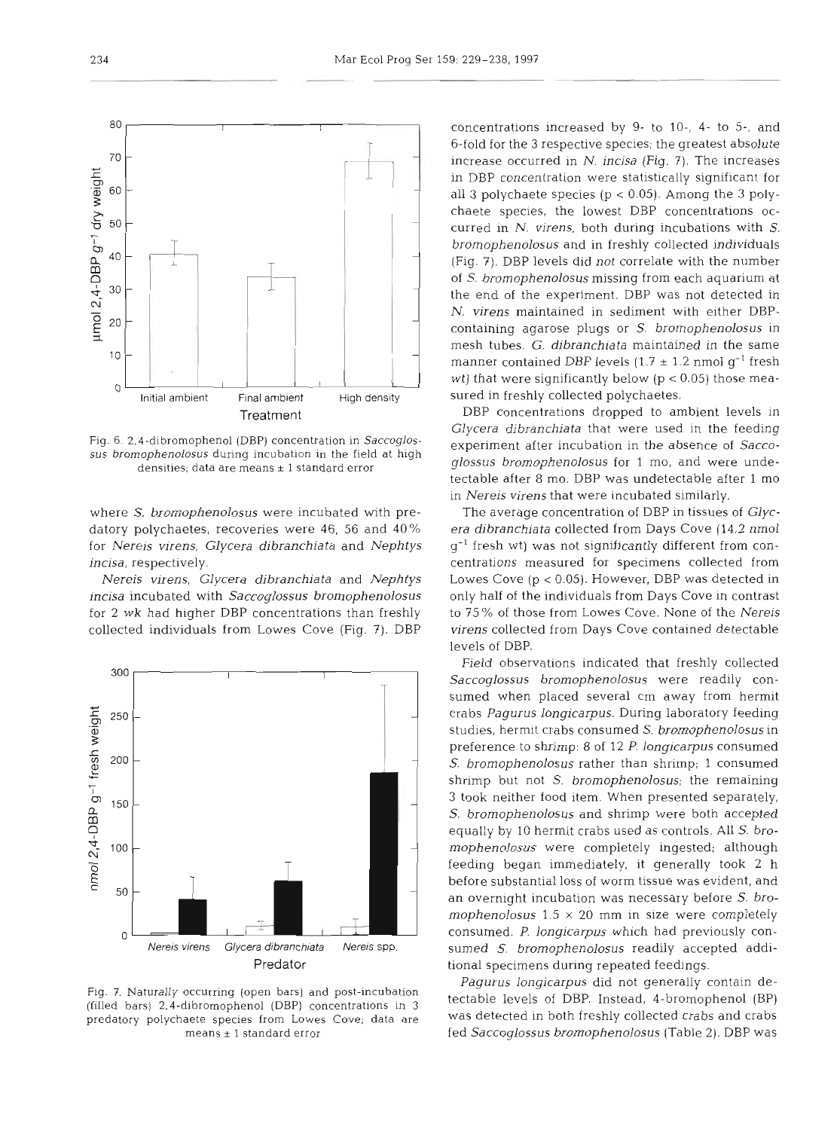Fig. 6. 2.4-dibromophenol **(DBP)** concentration in *Saccoglos*sus bromophenolosus during incubation in the field at high densities; data are means  $\pm$  1 standard error

where *S. brornophenolosus* were incubated with predatory polychaetes, recoveries were 46, 56 and 40% for *Nereis virens, Glycera dibranchiata* and *Nephtys incisa,* respectively.

*Nereis virens, Glycera dibranchiata* and *Nephtys incisa* incubated with *Saccoglossus bromophenolosus*  for 2 wk had higher DBP concentrations than freshly collected individuals from Lowes Cove (Fig. 7). DBP



Fig. 7. Naturally occurring (open bars) and post-incubation (filled bars) 2.4-dibromophenol (DBP) concentrations in 3 predatory polychaete species from Lowes Cove; data are means **<sup>2</sup>**1 standard error

concentrations increased by 9- to 10-, 4- to 5-, and 6-fold for the **3** respective species; the greatest absolute increase occurred in N. *incisa* (Fig. *7).* The Increases in DBP concentration were statistically significant for all **3** polychaete species (p < 0.05). Among the **3** polychaete species, the lowest DBP concentrations occurred in *N. virens,* both during incubations with *S. brornophenolosus* and in freshly collected individuals (Fig. 7). DBP levels did not correlate with the number of S. *brornophenolosus* missing from each aquarium at the end of the experiment. DBP was not detected in *N. virens* maintained in sediment with either DBPcontaining agarose plugs or *S. brornophenolosus* in mesh tubes. *G. dibranchiata* maintained in the same manner contained DBP levels  $(1.7 \pm 1.2 \text{ nmol g}^{-1}$  fresh wt) that were significantly below ( $p < 0.05$ ) those measured in freshly collected polychaetes.

DBP concentrations dropped to ambient levels in *Glycera dibranchiata* that were used in the feeding experiment after incubation in the absence of *Saccoglossus bromophenolosus* for 1 mo, and were undetectable after 8 mo. DBP was undetectable after 1 mo in *Nereis virens* that were incubated similarly.

The average concentration of DBP In tissues of *Glycera dibranchiata* collected from Days Cove (14.2 nmol  $g^{-1}$  fresh wt) was not significantly different from concentrations measured for specimens collected from Lowes Cove (p < 0.05). However, DBP was detected in only half of the individuals from Days Cove in contrast to 75 % of those from Lowes Cove. None of the *Nereis virens* collected from Days Cove contained detectable levels of DBP.

Field observations indicated that freshly collected *Saccoglossus bromophenolosus* were readily consumed when placed several cm away from hermit crabs *Pagurus longicarpus.* During laboratory feeding studies, hermlt crabs consumed *S. bromophenolosus* in preference to shrimp: 8 of 12 P. *longicarpus* consumed *S. bromophenolosus* rather than shrimp; 1 consumed shrimp but not S. *bromophenolosus;* the remaining **3** took neither food item. When presented separately, *S. bromophenolosus* and shrimp were both accepted equally by **1C** hermit crabs used as controls. All *S. bromophenolosus* were completely ingested; although feeding began immediately, it generally took 2 h before substantial loss of worm tissue was evident, and an overnight incubation was necessary before *S. bromophenolosus*  $1.5 \times 20$  mm in size were completely consumed. *P longicarpus* which had previously consumed *S. bromophenolosus* readily accepted additional specimens during repeated feedings.

*Pagurus longicarpus* did not generally contain detectable levels of DBP. Instead, 4-bromophenol (BP) was detected in both freshly collected crabs and crabs fed *Saccoglossus bromophenolosus* (Table *2).* DBP was

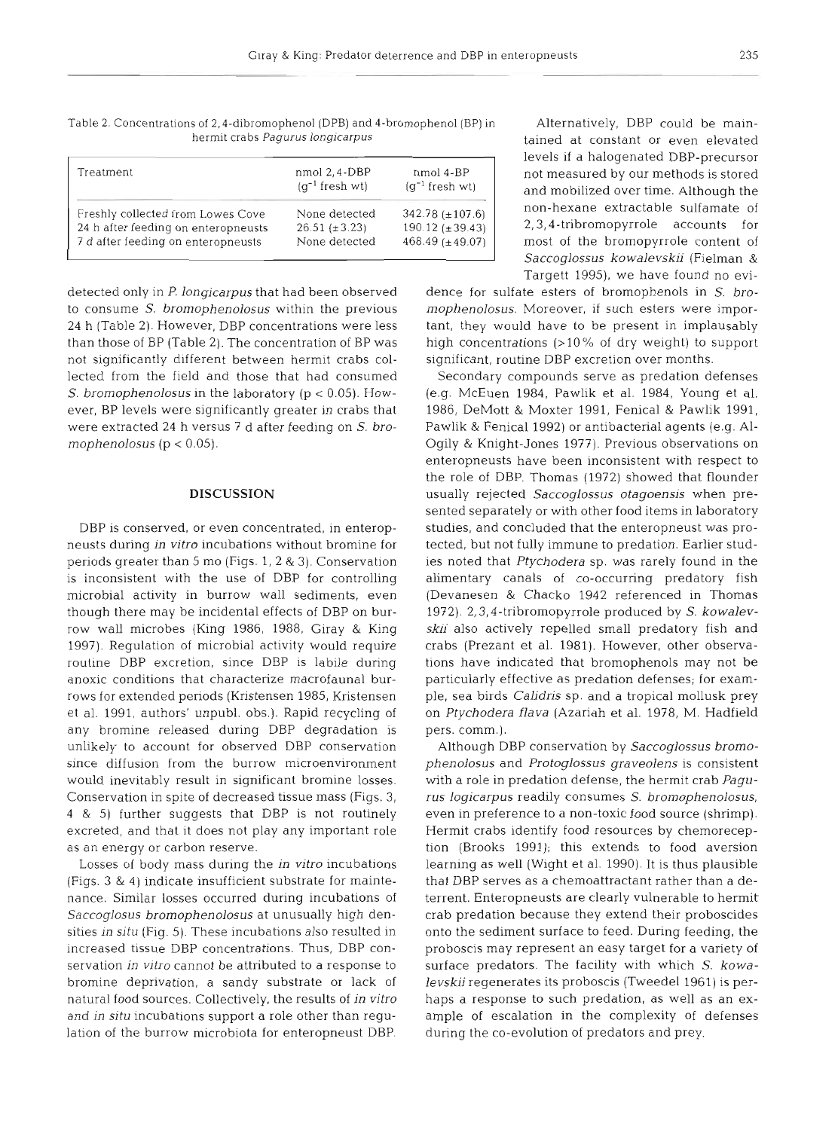Table 2. Concentrations of 2,4-dibromophenol (DPB) and 4-bromophenol (BP) in Alternatively, DBP could be main-<br>hermit crabs Pagurus longicarpus

| Treatment                           | nmol 2, 4-DBP<br>$(q^{-1}$ fresh wt) | nmol 4-BP<br>$(q^{-1}$ fresh wt) |
|-------------------------------------|--------------------------------------|----------------------------------|
| Freshly collected from Lowes Cove   | None detected                        | 342.78 $(\pm 107.6)$             |
| 24 h after feeding on enteropneusts | $26.51 (\pm 3.23)$                   | $190.12 (\pm 39.43)$             |
| 7 d after feeding on enteropneusts  | None detected                        | $468.49 \ (\pm 49.07)$           |
|                                     |                                      |                                  |

not significantly different between hermit crabs col- significant, routine DBP excretion over months. lected from the field and those that had consumed Secondary compounds serve as predation defenses

any bromine released during DBP degradation is pers. comm.). unlikely to account for observed DBP conservation Although DBP conservation by Saccoglossus bromo-

lation of the burrow microbiota for enteropneust DBP. during the co-evolution of predators and prey.

tained at constant or even elevated levels if a halogenated DBP-precursor not measured by our methods is stored and mobilized over time. Although the non-hexane extractable sulfamate of 2,3,4-tribromopyrrole accounts for most of the bromopyrrole content of Saccoglossus kowalevskii (Fielman & Targett 1995), we have found no evi-

detected only in P. longicarpus that had been observed dence for sulfate esters of bromophenols in S. broto consume S. bromophenolosus within the previous mophenolosus. Moreover, if such esters were impor-24 h (Table 2). However, DBP concentrations were less tant, they would have to be present in implausably than those of BP (Table 2). The concentration of BP was high concentrations (>10% of dry weight) to support

S. bromophenolosus in the laboratory (p < 0.05). How- (e.g. McEuen 1984, Pawlik et al. 1984, Young et al. ever, BP levels were significantly greater in crabs that 1986, DeMott & Moxter 1991, Fenical & Pawlik 1991, were extracted 24 h versus 7 d after feeding on S. bro- Pawlik & Fenical 1992) or antibacterial agents (e.g. **Al**mophenolosus (p < 0.05). Ogily & Knight-Jones 1977). Previous observations on enteropneusts have been inconsistent with respect to the role of DBP. Thomas (1972) showed that flounder **DISCUSSION usually rejected Saccoglossus otagoensis when pre**sented separately or with other food items in laboratory DBP is conserved, or even concentrated, in enterop- studies, and concluded that the enteropneust was proneusts during in vitro incubations without bromine for tected, but not fully immune to predation. Earlier studperiods greater than 5 mo (Figs. 1, 2 & **3).** Conservation ies noted that Ptychodera sp. was rarely found in the is inconsistent with the use of DBP for controlling alimentary canals of co-occurring predatory fish microbial activity in burrow wall sediments, even (Devanesen & Chacko 1942 referenced in Thomas though there may be incidental effects of DBP on bur- 1972). 2,3,4-tribromopyrrole produced by *S.* kowalevrow wall microbes (King 1986, 1988, Giray & King skii also actively repelled small predatory fish and 1997). Regulation of microbial activity would require crabs (Prezant et al. 1981). However, other observaroutine DBP excretion, since DBP is labile during tions have indicated that bromophenols may not be anoxic conditions that characterize macrofaunal bur- particularly effective as predation defenses; for examrows for extended periods (Kristensen 1985, Kristensen ple, sea birds Calidris sp. and a tropical mollusk prey et al. 1991, authors' unpubl. obs.), Rapid recycling of on Ptychodera flava (Azariah et al. 1978, M. Hadfield

since diffusion from the burrow microenvironment phenolosus and Protoglossus graveolens is consistent would inevitably result in significant bromine losses. with a role in predation defense, the hermit crab Pagu-Conservation in spite of decreased tissue mass (Figs. 3, rus logicarpus readily consumes S. bromophenolosus, 4 & 5) further suggests that DBP is not routinely even in preference to a non-toxic food source (shrimp). excreted, and that it does not play any important role Hermit crabs identify food resources by chemorecepas an energy or carbon reserve. tion (Brooks 1991); this extends to food aversion Losses of body mass during the *in* vitro incubations learning as well (Wight et al. 1990). It is thus plausible (Figs. **3** & 4) indicate insufficient substrate for mainte- that DBP serves as a chemoattractant rather than a denance. Similar losses occurred during incubations of terrent. Enteropneusts are clearly vulnerable to hermit Saccoglosus bromophenolosus at unusually high den- crab predation because they extend their proboscides sities in situ (Fig. 5). These incubations also resulted in onto the sediment surface to feed. During feeding, the increased tissue DBP concentrations. Thus, DBP con- proboscis may represent an easy target for a variety of servation in vitro cannot be attributed to a response to surface predators. The facility with which S. kowabromine deprivation, a sandy substrate or lack of levskii regenerates its proboscis (Tweedel 1961) is pernatural food sources. Collectively, the results of in vitro haps a response to such predation, as well as an exand in situ incubations support a role other than regu- ample of escalation in the complexity of defenses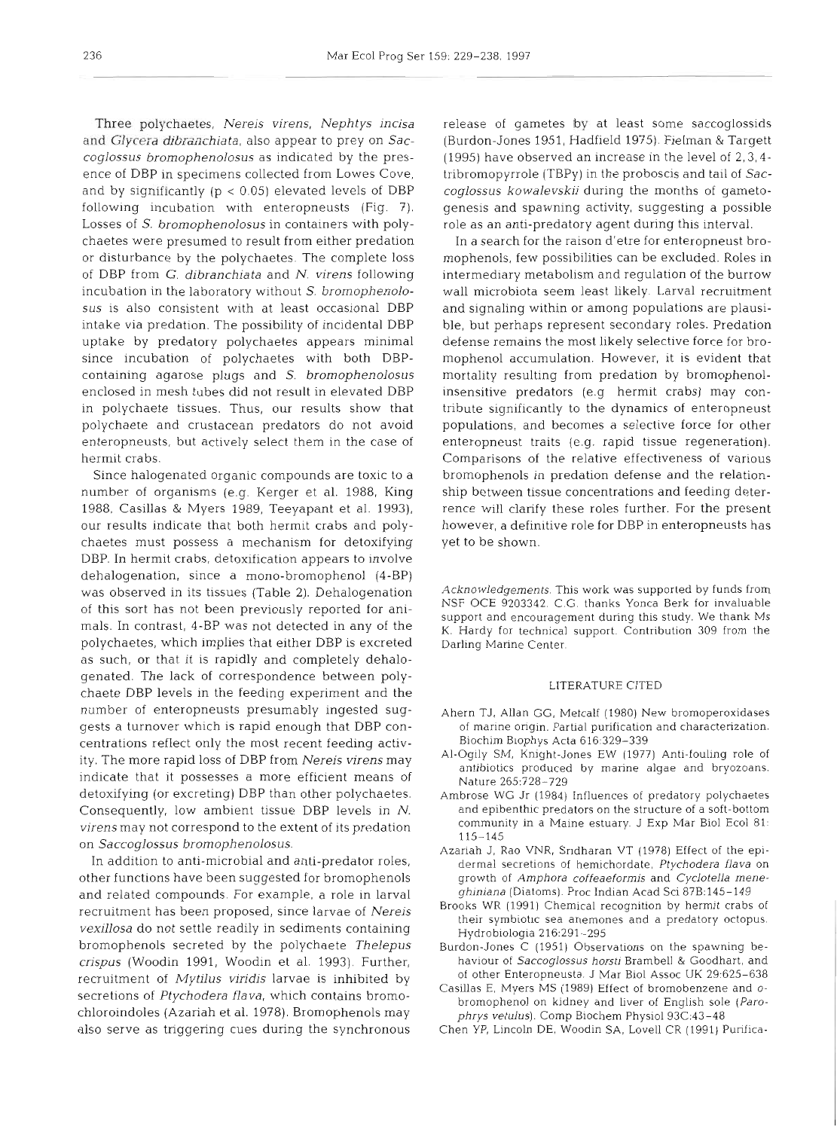Three polychaetes, *Nereis virens, Nephtys incisa*  and *Glycera dibranchiata,* also appear to prey on *Saccoglossus bromophenolosus* as indicated by the presence of DBP in specimens collected from Lowes Cove, and by significantly ( $p < 0.05$ ) elevated levels of DBP following incubation with enteropneusts (Fig. 7). Losses of S. *bromophenolosus* in containers with polychaetes were presumed to result from either predation or disturbance by the polychaetes. The complete loss of DBP from G. *dlbranchiata* and *N. virens* following incubation in the laboratory without *S. bromophenolosus* is also consistent with at least occasional DBP intake via predation. The possibility of incidental DBP uptake by predatory polychaetes appears minimal since incubation of polychaetes with both DBPcontaining agarose plugs and S, *brornophenolos~is*  enclosed in mesh tubes did not result in elevated DBP in polychaete tissues. Thus, our results show that polychaete and crustacean predators do not avoid enteropneusts, but actively select them in the case of hermit crabs.

Since halogenated organic compounds are toxic to a number of organisms (e.g. Kerger et al. 1988, King 1988, Casillas & Myers 1989, Teeyapant et al. 1993), our results indicate that both hermit crabs and polychaetes must possess a mechanism for detoxifying DBP. In hermit crabs, detoxification appears to involve dehalogenation, since a mono-bromophenol (4-BP) was observed in its tissues (Table 2). Dehalogenation of this sort has not been previously reported for animals. In contrast, 4-BP was not detected in any of the polychaetes, which implies that either DBP is excreted as such, or that it is rapidly and completely dehalogenated. The lack of correspondence between polychaete DBP levels in the feeding experiment and the number of enteropneusts presumably ingested suggests a turnover which is rapid enough that DBP concentrations reflect only the most recent feeding activity. The more rapid loss of DBP from *Nereis virens* may indicate that it possesses a more efficient means of detoxifying (or excreting) DBP than other polychaetes. Consequently, low ambient tissue DBP levels in N. *virens* may not correspond to the extent of its predation on *Saccoglossus bromophenolosus.* 

In addition to anti-microbial and anti-predator roles, other functions have been suggested for bromophenols and related compounds. For example, a role in larval recruitment has been proposed, since larvae of *Nereis vexillosa* do not settle readily in sediments containing bromophenols secreted by the polychaete *Thelepus crispus* (Woodin 1991, Woodin et al. 1993). Further, recruitment of *Mytilus viridis* larvae is inhibited by secretions of *Ptychodera flava,* which contains bromochloroindoles (Azariah et al. 1978). Bromophenols may also serve as triggering cues during the synchronous

release of gametes by at least some saccoglossids (Burdon-Jones 1951, Hadfield 1975). Fielman & Targett (1995) have observed an increase in the level of 2,3,4 tribromopyrrole (TBPy) in the proboscis and tail of *Saccoglossus kowalevskii* during the months of gametogenesis and spawning activity, suggesting a possible role as an anti-predatory agent during this interval.

In a search for the raison d'etre for enteropneust bromophenols, few possibilities can be excluded. Roles in intermediary metabolism and regulation of the burrow wall microbiota seem least likely. Larval recruitment and signaling within or among populations are plausible, but perhaps represent secondary roles. Predation defense remains the most likely selective force for bromophenol accumulation. However, it is evident that mortality resulting from predation by bromophenolinsensitive predators (e.g hermit crabs) may contribute significantly to the dynamics of enteropneust populations, and becomes a selective force for other enteropneust traits (e.g. rapid tissue regeneration). Comparisons of the relative effectiveness of various bromophenols in predation defense and the relationship between tissue concentrations and feeding deterrence will clarify these roles further. For the present however, a definitive role for DBP in enteropneusts has yet to be shown.

*Acknowledgements.* This work was supported by funds from NSF OCE 9203342 C G thanks Yonca Berk for invaluable support and encouragement during this study. We thank Ms K. Hardy for technical support. Contribution 309 from the Darling Marine Center.

#### LITERATURE CITED

- Ahern TJ, Allan GG, Metcalf (1980) New bromoperoxidases of marine origin. Partial purification and characterization. Biochim B10phys Acta 616:329-339
- Al-Ogily SM, Knight-Jones EW (1977) Anti-fouling role of antibiotics produced by marine algae and bryozoans. Nature 265728-729
- Ambrose WC Jr (1984) Influences of predatory polychaetes and epibenthic predators on the structure of a soft-bottom community in a Maine estuary. J Exp Mar Biol Ecol 81: 115-145
- Azariah J, Rao VNR, Sndharan VT (1978) Effect of the epldermal secretions of hemichordate, *Ptychodera flava* on growth of *Amphora coffeaeformis* and *Cyclotella meneghiniana* (Diatoms). Proc Indian Acad Sci 87B:145-149
- Brooks WR (1991) Chemical recognition by hermit crabs of their symbiotic sea anemones and a predatory octopus. Hydrobiologia 216:291-295
- Burdon-Jones C (1951) Observations on the spawning beha.viour of *Saccoglossus horsti* Brambell & Goodhart, and of other Enteropneusta. J Mar Biol Assoc UK 29:625-638
- Casillas E, Myers MS (1989) Effect of bromobenzene and *o*bromophenol on kidney and Liver of English sole *(Parophrys vetulus).* Comp Biochem Physiol93C:43-48
- Chen YP, Lincoln DE, Woodin SA, Love11 CR (1991) Punfica-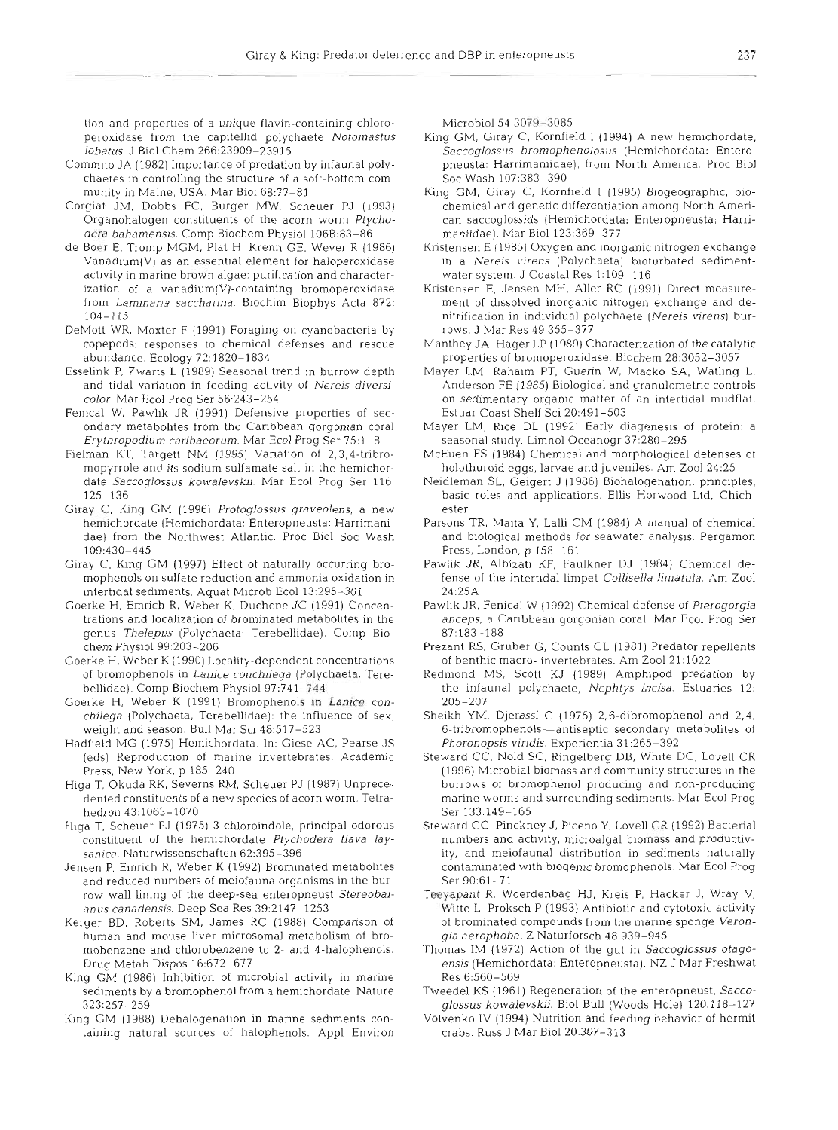tion and properties of a unique flavin-containing chloroperoxidase from the capitellid polychaete Notomastus l*obatus.* J Biol Chem 266:23909–2391

- Commito JA (1982) Importance of predation by infaunal polychaetes in controlling the structure of a soft-bottom community in Maine, USA. Mar Biol 68:77-81
- Corgiat JM, Dobbs FC, Burger MW, Scheuer PJ (1993) Organohalogen constituents of the acorn worm Ptychodera bahamensis. Comp Biochem Physiol 106B:83-86
- de Boer E, Tromp MGM, Plat H, Krenn GE, Wever R (1986) Vanadium(V) as an essential element for haloperoxidase activity in marine brown algae: purification and characterization of a vanadium(V)-containing bromoperoxidase from Laminaria saccharina. Biochim Biophys Acta 872: 104-115
- DeMott WR, Moxter F (1991) Foraging on cyanobacteria by copepods: responses to chemical defenses and rescue abundance. Ecology 72:1820-1834
- Esselink P, Zwarts L (1989) Seasonal trend in burrow depth and tidal variation in feeding activity of Nereis diversicolor. Mar Ecol Prog Ser 56:243-254
- Fenical W, Pawlık JR (1991) Defensive properties of secondary metabolites from the Caribbean gorgonian coral Erythropodiurn caribaeorum. Mar Ecol Prog Ser 75:l-8
- Fielman KT, Targett NM (1995) Variation of 2,3,4-tribromopyrrole and its sodium sulfamate salt in the hemichordate Saccoglossus kowalevskij. Mar Ecol Prog Ser 116: 125-136
- Giray C. King GM (1996) Protoglossus graveolens, a new hemichordate (Hemichordata: Enteropneusta: Harrimanidae) from the Northwest Atlantic. Proc Biol Soc Wash 109:430-445
- Giray C, King GM (1997) Effect of naturally occurring bromophenols on sulfate reduction and ammonia oxidation in intertidal sediments. Aquat Microb Ecol 13:295-301
- Goerke H, Emrich R, Weber K, Duchene JC (1991) Concentrations and localization of brominated metabolites in the genus Thelepus (Polychaeta: Terebellidae). Comp Biochem Physiol 99:203-206
- Goerke H, Weber K (1990) Locality-dependent concentrations of bromophenols in Lanice conchilega (Polychaeta: Terebellidae). Comp Biochem Physiol 97:741-744
- Goerke H, Weber K (1991) Bromophenols in Lanice conchilega (Polychaeta, Terebellidae): the influence of sex. weight and season. Bull Mar SCI 48517-523
- Hadfjeld MG (1975) Hemichordata. In: Giese AC, Pearse JS (eds) Reproduction of marine invertebrates. Academic Press, New York, p 185-240
- Higa T, Okuda RK, Severns RM, Scheuer PJ (1987) Unprecedented constituents of a new species of acorn worm. Tetrahedron 43:1063-1070
- Higa T, Scheuer PJ (1975) 3-chloroindole, principal odorous constituent of the hemichordate Ptychodera flava laysanica. Naturwissenschaften 62:395-396
- Jensen P, Emrich R, Weber K (1992) Brominated metabolites and reduced numbers of meiofauna organisms in the burrow wall lining of the deep-sea enteropneust Stereobalanus canadensis. Deep Sea Res 39:2147-1253
- Kerger BD, Roberts SM, James RC (1988) Comparison of human and mouse liver microsomal metabolism of bromobenzene and chlorobenzene to 2- and 4-halophenols. Drug Metab Dispos 16:672-677
- King GM (1986) Inhibition of microbial activity in marine sediments by a bromophenol from a hemichordate. Nature 323:257-259
- King GM (1988) Dehalogenatlon in marine sediments containing natural sources of halophenols. Appl Environ

Microbial 54:3079-3085

- King GM, Giray C, Kornfield I (1994) A new hemichordate Saccoglossus bromophenolosus (Hemichordata: Enteropneusta: Harrimaniidae), from North America. Proc Biol Soc Wash 107:383-390
- King GM, Giray C, Kornfield I (1995) Biogeographic, biochemical and genetic differentiation among North American saccoglossids (Hemichordata; Enteropneusta; Harrimaniidae). Mar Biol 123:369-377
- Kristensen E  $(1985)$  Oxygen and inorganic nitrogen exchange in a Nereis virens (Polychaeta) bioturbated sedimentwater system. J Coastal Res 1:109-116
- Kristensen E, Jensen MH, Aller RC (1991) Direct measurement of dissolved inorganic nitrogen exchange and denitrification in individual polychaete (Nereis virens) burrows. J Mar Res 49 355-377
- Manthey JA, Hager LP (1989) Characterization of the catalytic properties of bromoperoxidase. Biochem 28:3052-3057
- Mayer LM, Rahaim PT, Guerin W, Macko SA. Watling L, Anderson FE (1985) Biological and granulometric controls on sedimentary organic matter of an intertidal mudflat. Estuar Coast Shelf Sci 20:491-503
- Mayer LM, Rice DL (1992) Early diagenesis of protein: a seasonal study. Limnol Oceanogr 37:280-295
- McEuen FS (1984) Chemical and morphological defenses of holothuroid eggs, larvae and juveniles. Am Zoo1 24:25
- Neidleman SL, Geigert J (1986) Biohalogenation: principles, basic roles and applications. Ellis Horwood Ltd. Chichester
- Parsons TR, Maita Y, Lalli CM (1984) A manual of chemical and biological methods for seawater analysis Pergamon Press, London, p 158-161
- Pawlik JR, Albizati KF, Faulkner DJ (1984) Chemical defense of the intertidal limpet Collisella limatula. Am Zool 24:25A
- Pawlik JR, Fenical W (1992) Chemical defense of Pterogorgia anceps, a Caribbean gorgonian coral. Mar Ecol Prog Ser 87-183-188
- Prezant RS, Gruber G, Counts CL (1981) Predator repellent of benthic macro- invertebrates. Am Zoo1 21:1022
- Redmond MS, Scott KJ (1989) Amphipod predation by the infaunal polychaete, Nephtys incisa. Estuaries 12: 205-207
- Sheikh YM, Djerassi C (1975) 2,6-dibromophenol and 2,4, 6-tribromophenols-antiseptic secondary metabolites of Phoronopsis viridis. Experientia 31:265-392
- Steward CC, Nold SC, Ringelberg DB, White DC, Lovell CR (1996) Microbial blomass and community structures in the burrows of bromophenol producing and non-producing marine worms and surrounding sediments. Mar Ecol Prog Ser 133:149-165
- Steward CC, Pinckney J, Piceno Y, Lovell CR (1992) Bacterial numbers and activity, microalgal biomass and productivity, and meiofaunal distribution in sediments naturally contaminated w~th biogenic bromophenols. Mar Ecol Prog Ser 90:61-71
- Teeyapant R, Woerdenbag HJ, Kreis P, Hacker J, Wray V, Witte L, Proksch P (1993) Antibiotic and cytotoxic activity of brominated compounds from the marine sponge Verongia aerophoba. Z Naturforsch 48:939-945
- Thomas IM (1972) Action of the gut in Saccoglossus otagoensis (Hemichordata: Enteropneusta). NZ J Mar Freshwat Res 6:560-569
- Tweedel KS (1961) Regeneration of the enteropneust, Saccoglossus kowalevskii. Biol Bull (Woods Hole) 120:118-127
- Volvenko IV (1994) Nutrition and feeding behavior of hermit crabs. Russ J Mar Biol 20:30?-313